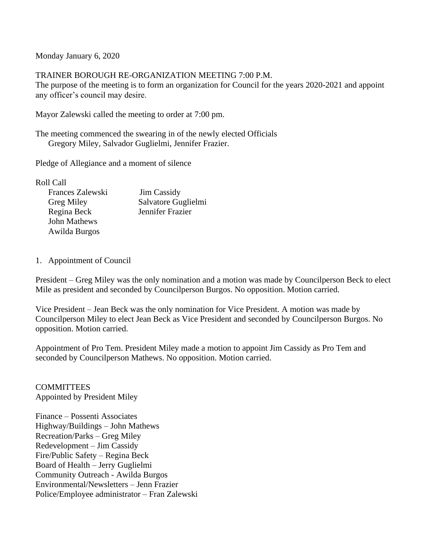Monday January 6, 2020

TRAINER BOROUGH RE-ORGANIZATION MEETING 7:00 P.M.

The purpose of the meeting is to form an organization for Council for the years 2020-2021 and appoint any officer's council may desire.

Mayor Zalewski called the meeting to order at 7:00 pm.

The meeting commenced the swearing in of the newly elected Officials Gregory Miley, Salvador Guglielmi, Jennifer Frazier.

Pledge of Allegiance and a moment of silence

Roll Call

| Frances Zalewski  | <b>Jim Cassidy</b>  |
|-------------------|---------------------|
| <b>Greg Miley</b> | Salvatore Guglielmi |
| Regina Beck       | Jennifer Frazier    |
| John Mathews      |                     |
| Awilda Burgos     |                     |

## 1. Appointment of Council

President – Greg Miley was the only nomination and a motion was made by Councilperson Beck to elect Mile as president and seconded by Councilperson Burgos. No opposition. Motion carried.

Vice President – Jean Beck was the only nomination for Vice President. A motion was made by Councilperson Miley to elect Jean Beck as Vice President and seconded by Councilperson Burgos. No opposition. Motion carried.

Appointment of Pro Tem. President Miley made a motion to appoint Jim Cassidy as Pro Tem and seconded by Councilperson Mathews. No opposition. Motion carried.

**COMMITTEES** Appointed by President Miley

Finance – Possenti Associates Highway/Buildings – John Mathews Recreation/Parks – Greg Miley Redevelopment – Jim Cassidy Fire/Public Safety – Regina Beck Board of Health – Jerry Guglielmi Community Outreach - Awilda Burgos Environmental/Newsletters – Jenn Frazier Police/Employee administrator – Fran Zalewski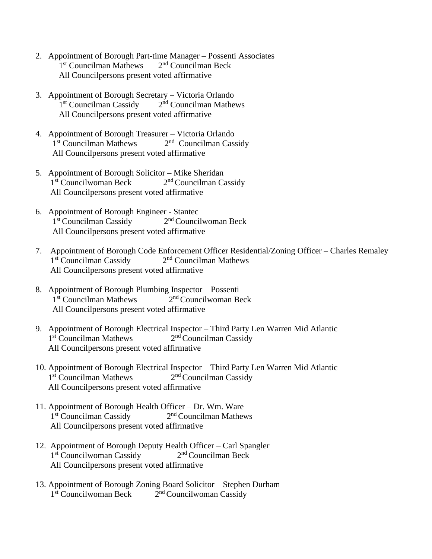- 2. Appointment of Borough Part-time Manager Possenti Associates 1<sup>st</sup> Councilman Mathews 2  $2<sup>nd</sup>$  Councilman Beck All Councilpersons present voted affirmative
- 3. Appointment of Borough Secretary Victoria Orlando 1<sup>st</sup> Councilman Cassidy 2  $2<sup>nd</sup>$  Councilman Mathews All Councilpersons present voted affirmative
- 4. Appointment of Borough Treasurer Victoria Orlando 1<sup>st</sup> Councilman Mathews 2  $2<sup>nd</sup>$  Councilman Cassidy All Councilpersons present voted affirmative
- 5. Appointment of Borough Solicitor Mike Sheridan 1<sup>st</sup> Councilwoman Beck 2  $2<sup>nd</sup> Councilman Cassidy$ All Councilpersons present voted affirmative
- 6. Appointment of Borough Engineer Stantec 1<sup>st</sup> Councilman Cassidy 2  $2<sup>nd</sup>$  Councilwoman Beck All Councilpersons present voted affirmative
- 7. Appointment of Borough Code Enforcement Officer Residential/Zoning Officer Charles Remaley 1<sup>st</sup> Councilman Cassidy 2  $2<sup>nd</sup>$  Councilman Mathews All Councilpersons present voted affirmative
- 8. Appointment of Borough Plumbing Inspector Possenti 1<sup>st</sup> Councilman Mathews 2  $2<sup>nd</sup>$  Councilwoman Beck All Councilpersons present voted affirmative
- 9. Appointment of Borough Electrical Inspector Third Party Len Warren Mid Atlantic 1<sup>st</sup> Councilman Mathews 2  $2<sup>nd</sup> Councilman Cassidy$ All Councilpersons present voted affirmative
- 10. Appointment of Borough Electrical Inspector Third Party Len Warren Mid Atlantic 1<sup>st</sup> Councilman Mathews 2  $2<sup>nd</sup>$  Councilman Cassidy All Councilpersons present voted affirmative
- 11. Appointment of Borough Health Officer Dr. Wm. Ware 1<sup>st</sup> Councilman Cassidy 2  $2<sup>nd</sup> Councilman Matthews$ All Councilpersons present voted affirmative
- 12. Appointment of Borough Deputy Health Officer Carl Spangler 1<sup>st</sup> Councilwoman Cassidy 2 2<sup>nd</sup> Councilman Beck All Councilpersons present voted affirmative
- 13. Appointment of Borough Zoning Board Solicitor Stephen Durham 1<sup>st</sup> Councilwoman Beck 2  $2<sup>nd</sup> Councilwoman Cassidy$